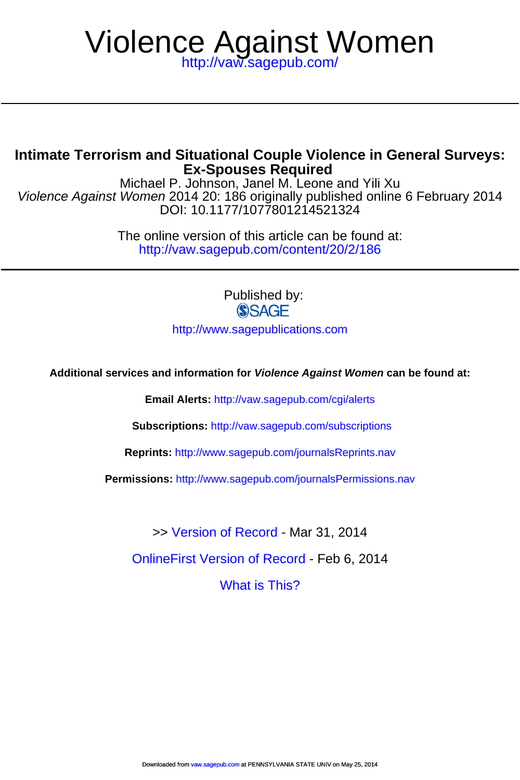# <http://vaw.sagepub.com/> Violence Against Women

# **Ex-Spouses Required Intimate Terrorism and Situational Couple Violence in General Surveys:**

DOI: 10.1177/1077801214521324 Violence Against Women 2014 20: 186 originally published online 6 February 2014 Michael P. Johnson, Janel M. Leone and Yili Xu

> <http://vaw.sagepub.com/content/20/2/186> The online version of this article can be found at:

> > Published by: **SSAGE**

<http://www.sagepublications.com>

**Additional services and information for Violence Against Women can be found at:**

**Email Alerts:** <http://vaw.sagepub.com/cgi/alerts>

**Subscriptions:** <http://vaw.sagepub.com/subscriptions>

**Reprints:** <http://www.sagepub.com/journalsReprints.nav>

**Permissions:** <http://www.sagepub.com/journalsPermissions.nav>

>> [Version of Record -](http://vaw.sagepub.com/content/20/2/186.full.pdf) Mar 31, 2014

[OnlineFirst Version of Record -](http://vaw.sagepub.com/content/early/2014/02/05/1077801214521324.full.pdf) Feb 6, 2014

[What is This?](http://online.sagepub.com/site/sphelp/vorhelp.xhtml)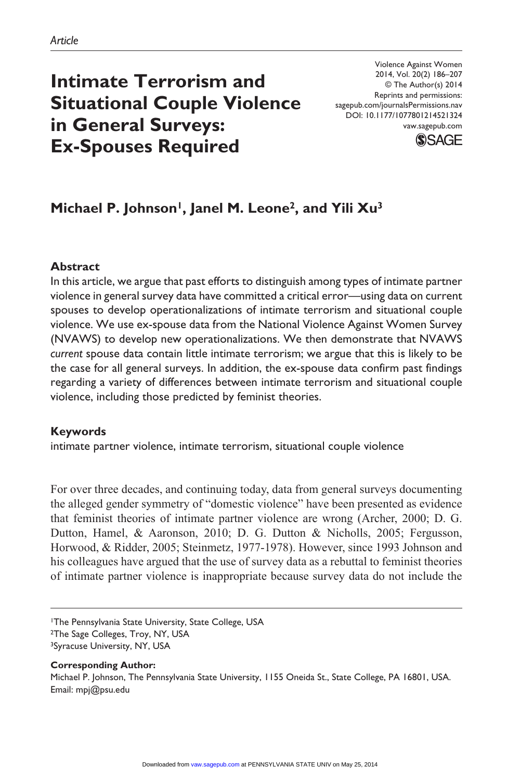# **Intimate Terrorism and Situational Couple Violence in General Surveys: Ex-Spouses Required**

Violence Against Women 2014, Vol. 20(2) 186–207 © The Author(s) 2014 Reprints and permissions: sagepub.com/journalsPermissions.nav DOI: 10.1177/1077801214521324 vaw.sagepub.com



# Michael P. Johnson<sup>1</sup>, Janel M. Leone<sup>2</sup>, and Yili Xu<sup>3</sup>

#### **Abstract**

In this article, we argue that past efforts to distinguish among types of intimate partner violence in general survey data have committed a critical error—using data on current spouses to develop operationalizations of intimate terrorism and situational couple violence. We use ex-spouse data from the National Violence Against Women Survey (NVAWS) to develop new operationalizations. We then demonstrate that NVAWS *current* spouse data contain little intimate terrorism; we argue that this is likely to be the case for all general surveys. In addition, the ex-spouse data confirm past findings regarding a variety of differences between intimate terrorism and situational couple violence, including those predicted by feminist theories.

#### **Keywords**

intimate partner violence, intimate terrorism, situational couple violence

For over three decades, and continuing today, data from general surveys documenting the alleged gender symmetry of "domestic violence" have been presented as evidence that feminist theories of intimate partner violence are wrong (Archer, 2000; D. G. Dutton, Hamel, & Aaronson, 2010; D. G. Dutton & Nicholls, 2005; Fergusson, Horwood, & Ridder, 2005; Steinmetz, 1977-1978). However, since 1993 Johnson and his colleagues have argued that the use of survey data as a rebuttal to feminist theories of intimate partner violence is inappropriate because survey data do not include the

1The Pennsylvania State University, State College, USA

**Corresponding Author:**

Michael P. Johnson, The Pennsylvania State University, 1155 Oneida St., State College, PA 16801, USA. Email: [mpj@psu.edu](mailto:mpj@psu.edu)

<sup>2</sup>The Sage Colleges, Troy, NY, USA

<sup>3</sup>Syracuse University, NY, USA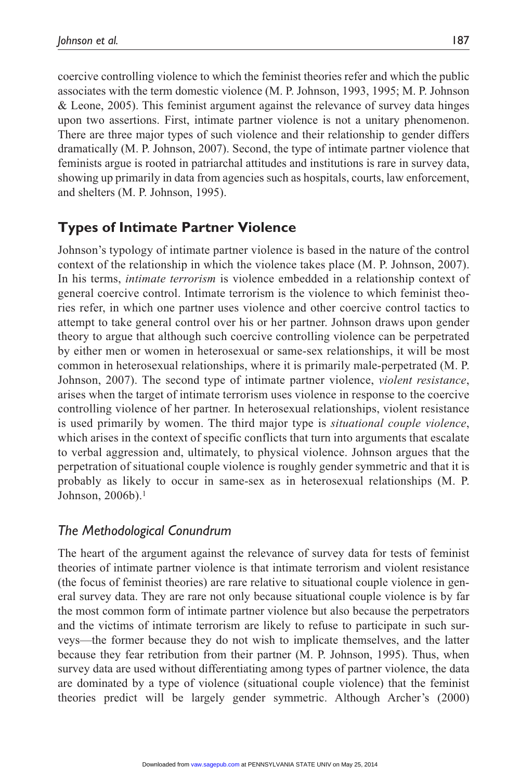coercive controlling violence to which the feminist theories refer and which the public associates with the term domestic violence (M. P. Johnson, 1993, 1995; M. P. Johnson & Leone, 2005). This feminist argument against the relevance of survey data hinges upon two assertions. First, intimate partner violence is not a unitary phenomenon. There are three major types of such violence and their relationship to gender differs dramatically (M. P. Johnson, 2007). Second, the type of intimate partner violence that feminists argue is rooted in patriarchal attitudes and institutions is rare in survey data, showing up primarily in data from agencies such as hospitals, courts, law enforcement, and shelters (M. P. Johnson, 1995).

# **Types of Intimate Partner Violence**

Johnson's typology of intimate partner violence is based in the nature of the control context of the relationship in which the violence takes place (M. P. Johnson, 2007). In his terms, *intimate terrorism* is violence embedded in a relationship context of general coercive control. Intimate terrorism is the violence to which feminist theories refer, in which one partner uses violence and other coercive control tactics to attempt to take general control over his or her partner. Johnson draws upon gender theory to argue that although such coercive controlling violence can be perpetrated by either men or women in heterosexual or same-sex relationships, it will be most common in heterosexual relationships, where it is primarily male-perpetrated (M. P. Johnson, 2007). The second type of intimate partner violence, *violent resistance*, arises when the target of intimate terrorism uses violence in response to the coercive controlling violence of her partner. In heterosexual relationships, violent resistance is used primarily by women. The third major type is *situational couple violence*, which arises in the context of specific conflicts that turn into arguments that escalate to verbal aggression and, ultimately, to physical violence. Johnson argues that the perpetration of situational couple violence is roughly gender symmetric and that it is probably as likely to occur in same-sex as in heterosexual relationships (M. P. Johnson, 2006b).1

# *The Methodological Conundrum*

The heart of the argument against the relevance of survey data for tests of feminist theories of intimate partner violence is that intimate terrorism and violent resistance (the focus of feminist theories) are rare relative to situational couple violence in general survey data. They are rare not only because situational couple violence is by far the most common form of intimate partner violence but also because the perpetrators and the victims of intimate terrorism are likely to refuse to participate in such surveys—the former because they do not wish to implicate themselves, and the latter because they fear retribution from their partner (M. P. Johnson, 1995). Thus, when survey data are used without differentiating among types of partner violence, the data are dominated by a type of violence (situational couple violence) that the feminist theories predict will be largely gender symmetric. Although Archer's (2000)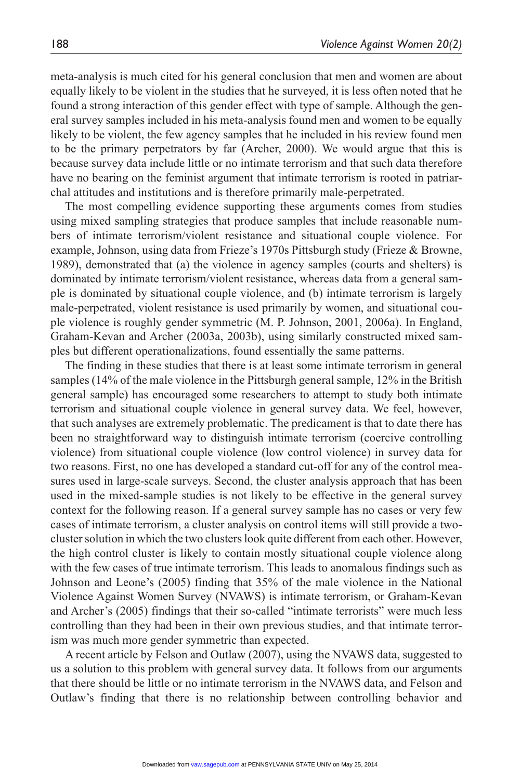meta-analysis is much cited for his general conclusion that men and women are about equally likely to be violent in the studies that he surveyed, it is less often noted that he found a strong interaction of this gender effect with type of sample. Although the general survey samples included in his meta-analysis found men and women to be equally likely to be violent, the few agency samples that he included in his review found men to be the primary perpetrators by far (Archer, 2000). We would argue that this is because survey data include little or no intimate terrorism and that such data therefore have no bearing on the feminist argument that intimate terrorism is rooted in patriarchal attitudes and institutions and is therefore primarily male-perpetrated.

The most compelling evidence supporting these arguments comes from studies using mixed sampling strategies that produce samples that include reasonable numbers of intimate terrorism/violent resistance and situational couple violence. For example, Johnson, using data from Frieze's 1970s Pittsburgh study (Frieze & Browne, 1989), demonstrated that (a) the violence in agency samples (courts and shelters) is dominated by intimate terrorism/violent resistance, whereas data from a general sample is dominated by situational couple violence, and (b) intimate terrorism is largely male-perpetrated, violent resistance is used primarily by women, and situational couple violence is roughly gender symmetric (M. P. Johnson, 2001, 2006a). In England, Graham-Kevan and Archer (2003a, 2003b), using similarly constructed mixed samples but different operationalizations, found essentially the same patterns.

The finding in these studies that there is at least some intimate terrorism in general samples (14% of the male violence in the Pittsburgh general sample, 12% in the British general sample) has encouraged some researchers to attempt to study both intimate terrorism and situational couple violence in general survey data. We feel, however, that such analyses are extremely problematic. The predicament is that to date there has been no straightforward way to distinguish intimate terrorism (coercive controlling violence) from situational couple violence (low control violence) in survey data for two reasons. First, no one has developed a standard cut-off for any of the control measures used in large-scale surveys. Second, the cluster analysis approach that has been used in the mixed-sample studies is not likely to be effective in the general survey context for the following reason. If a general survey sample has no cases or very few cases of intimate terrorism, a cluster analysis on control items will still provide a twocluster solution in which the two clusters look quite different from each other. However, the high control cluster is likely to contain mostly situational couple violence along with the few cases of true intimate terrorism. This leads to anomalous findings such as Johnson and Leone's (2005) finding that 35% of the male violence in the National Violence Against Women Survey (NVAWS) is intimate terrorism, or Graham-Kevan and Archer's (2005) findings that their so-called "intimate terrorists" were much less controlling than they had been in their own previous studies, and that intimate terrorism was much more gender symmetric than expected.

A recent article by Felson and Outlaw (2007), using the NVAWS data, suggested to us a solution to this problem with general survey data. It follows from our arguments that there should be little or no intimate terrorism in the NVAWS data, and Felson and Outlaw's finding that there is no relationship between controlling behavior and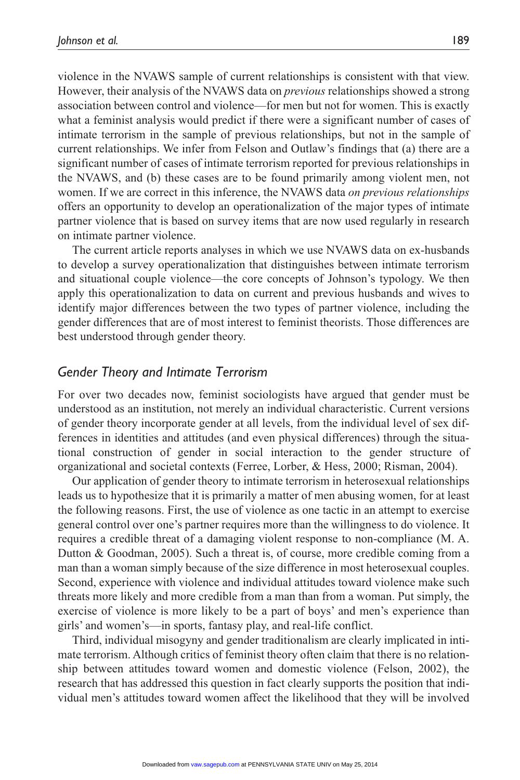violence in the NVAWS sample of current relationships is consistent with that view. However, their analysis of the NVAWS data on *previous* relationships showed a strong association between control and violence—for men but not for women. This is exactly what a feminist analysis would predict if there were a significant number of cases of intimate terrorism in the sample of previous relationships, but not in the sample of current relationships. We infer from Felson and Outlaw's findings that (a) there are a significant number of cases of intimate terrorism reported for previous relationships in the NVAWS, and (b) these cases are to be found primarily among violent men, not women. If we are correct in this inference, the NVAWS data *on previous relationships* offers an opportunity to develop an operationalization of the major types of intimate partner violence that is based on survey items that are now used regularly in research on intimate partner violence.

The current article reports analyses in which we use NVAWS data on ex-husbands to develop a survey operationalization that distinguishes between intimate terrorism and situational couple violence—the core concepts of Johnson's typology. We then apply this operationalization to data on current and previous husbands and wives to identify major differences between the two types of partner violence, including the gender differences that are of most interest to feminist theorists. Those differences are best understood through gender theory.

#### *Gender Theory and Intimate Terrorism*

For over two decades now, feminist sociologists have argued that gender must be understood as an institution, not merely an individual characteristic. Current versions of gender theory incorporate gender at all levels, from the individual level of sex differences in identities and attitudes (and even physical differences) through the situational construction of gender in social interaction to the gender structure of organizational and societal contexts (Ferree, Lorber, & Hess, 2000; Risman, 2004).

Our application of gender theory to intimate terrorism in heterosexual relationships leads us to hypothesize that it is primarily a matter of men abusing women, for at least the following reasons. First, the use of violence as one tactic in an attempt to exercise general control over one's partner requires more than the willingness to do violence. It requires a credible threat of a damaging violent response to non-compliance (M. A. Dutton & Goodman, 2005). Such a threat is, of course, more credible coming from a man than a woman simply because of the size difference in most heterosexual couples. Second, experience with violence and individual attitudes toward violence make such threats more likely and more credible from a man than from a woman. Put simply, the exercise of violence is more likely to be a part of boys' and men's experience than girls' and women's—in sports, fantasy play, and real-life conflict.

Third, individual misogyny and gender traditionalism are clearly implicated in intimate terrorism. Although critics of feminist theory often claim that there is no relationship between attitudes toward women and domestic violence (Felson, 2002), the research that has addressed this question in fact clearly supports the position that individual men's attitudes toward women affect the likelihood that they will be involved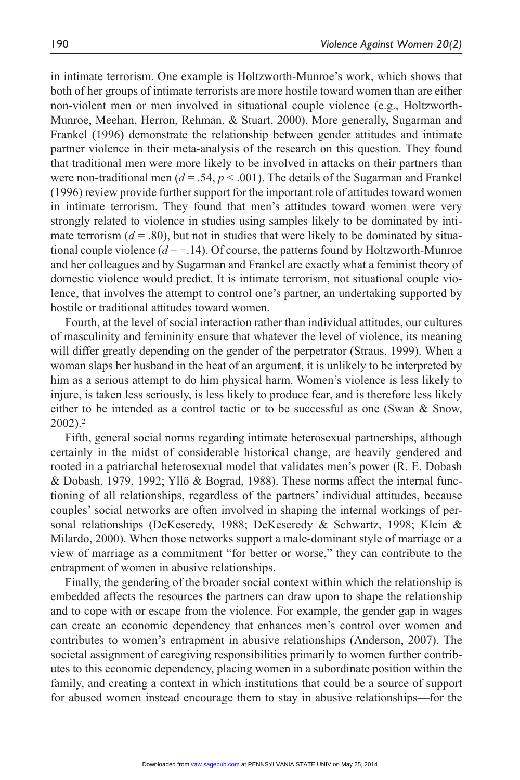in intimate terrorism. One example is Holtzworth-Munroe's work, which shows that both of her groups of intimate terrorists are more hostile toward women than are either non-violent men or men involved in situational couple violence (e.g., Holtzworth-Munroe, Meehan, Herron, Rehman, & Stuart, 2000). More generally, Sugarman and Frankel (1996) demonstrate the relationship between gender attitudes and intimate partner violence in their meta-analysis of the research on this question. They found that traditional men were more likely to be involved in attacks on their partners than were non-traditional men ( $d = .54$ ,  $p < .001$ ). The details of the Sugarman and Frankel (1996) review provide further support for the important role of attitudes toward women in intimate terrorism. They found that men's attitudes toward women were very strongly related to violence in studies using samples likely to be dominated by intimate terrorism  $(d = .80)$ , but not in studies that were likely to be dominated by situational couple violence (*d* = −.14). Of course, the patterns found by Holtzworth-Munroe and her colleagues and by Sugarman and Frankel are exactly what a feminist theory of domestic violence would predict. It is intimate terrorism, not situational couple violence, that involves the attempt to control one's partner, an undertaking supported by hostile or traditional attitudes toward women.

Fourth, at the level of social interaction rather than individual attitudes, our cultures of masculinity and femininity ensure that whatever the level of violence, its meaning will differ greatly depending on the gender of the perpetrator (Straus, 1999). When a woman slaps her husband in the heat of an argument, it is unlikely to be interpreted by him as a serious attempt to do him physical harm. Women's violence is less likely to injure, is taken less seriously, is less likely to produce fear, and is therefore less likely either to be intended as a control tactic or to be successful as one (Swan & Snow, 2002).2

Fifth, general social norms regarding intimate heterosexual partnerships, although certainly in the midst of considerable historical change, are heavily gendered and rooted in a patriarchal heterosexual model that validates men's power (R. E. Dobash & Dobash, 1979, 1992; Yllö & Bograd, 1988). These norms affect the internal functioning of all relationships, regardless of the partners' individual attitudes, because couples' social networks are often involved in shaping the internal workings of personal relationships (DeKeseredy, 1988; DeKeseredy & Schwartz, 1998; Klein & Milardo, 2000). When those networks support a male-dominant style of marriage or a view of marriage as a commitment "for better or worse," they can contribute to the entrapment of women in abusive relationships.

Finally, the gendering of the broader social context within which the relationship is embedded affects the resources the partners can draw upon to shape the relationship and to cope with or escape from the violence. For example, the gender gap in wages can create an economic dependency that enhances men's control over women and contributes to women's entrapment in abusive relationships (Anderson, 2007). The societal assignment of caregiving responsibilities primarily to women further contributes to this economic dependency, placing women in a subordinate position within the family, and creating a context in which institutions that could be a source of support for abused women instead encourage them to stay in abusive relationships—for the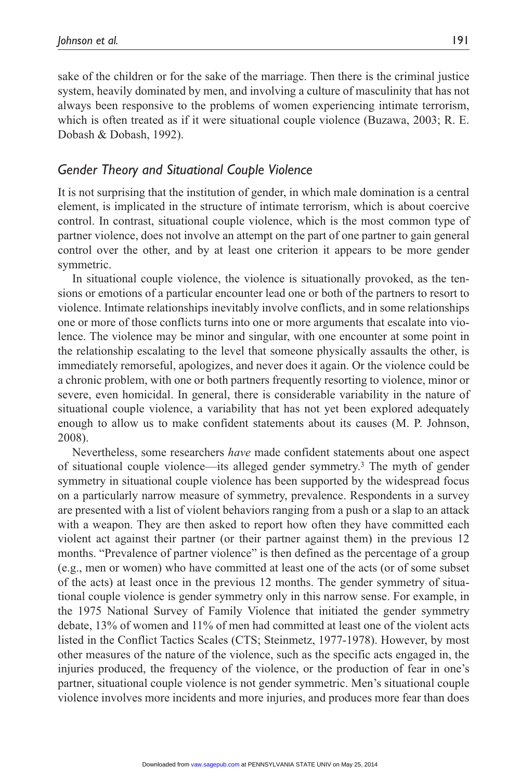sake of the children or for the sake of the marriage. Then there is the criminal justice system, heavily dominated by men, and involving a culture of masculinity that has not always been responsive to the problems of women experiencing intimate terrorism, which is often treated as if it were situational couple violence (Buzawa, 2003; R. E. Dobash & Dobash, 1992).

# *Gender Theory and Situational Couple Violence*

It is not surprising that the institution of gender, in which male domination is a central element, is implicated in the structure of intimate terrorism, which is about coercive control. In contrast, situational couple violence, which is the most common type of partner violence, does not involve an attempt on the part of one partner to gain general control over the other, and by at least one criterion it appears to be more gender symmetric.

In situational couple violence, the violence is situationally provoked, as the tensions or emotions of a particular encounter lead one or both of the partners to resort to violence. Intimate relationships inevitably involve conflicts, and in some relationships one or more of those conflicts turns into one or more arguments that escalate into violence. The violence may be minor and singular, with one encounter at some point in the relationship escalating to the level that someone physically assaults the other, is immediately remorseful, apologizes, and never does it again. Or the violence could be a chronic problem, with one or both partners frequently resorting to violence, minor or severe, even homicidal. In general, there is considerable variability in the nature of situational couple violence, a variability that has not yet been explored adequately enough to allow us to make confident statements about its causes (M. P. Johnson, 2008).

Nevertheless, some researchers *have* made confident statements about one aspect of situational couple violence—its alleged gender symmetry.3 The myth of gender symmetry in situational couple violence has been supported by the widespread focus on a particularly narrow measure of symmetry, prevalence. Respondents in a survey are presented with a list of violent behaviors ranging from a push or a slap to an attack with a weapon. They are then asked to report how often they have committed each violent act against their partner (or their partner against them) in the previous 12 months. "Prevalence of partner violence" is then defined as the percentage of a group (e.g., men or women) who have committed at least one of the acts (or of some subset of the acts) at least once in the previous 12 months. The gender symmetry of situational couple violence is gender symmetry only in this narrow sense. For example, in the 1975 National Survey of Family Violence that initiated the gender symmetry debate, 13% of women and 11% of men had committed at least one of the violent acts listed in the Conflict Tactics Scales (CTS; Steinmetz, 1977-1978). However, by most other measures of the nature of the violence, such as the specific acts engaged in, the injuries produced, the frequency of the violence, or the production of fear in one's partner, situational couple violence is not gender symmetric. Men's situational couple violence involves more incidents and more injuries, and produces more fear than does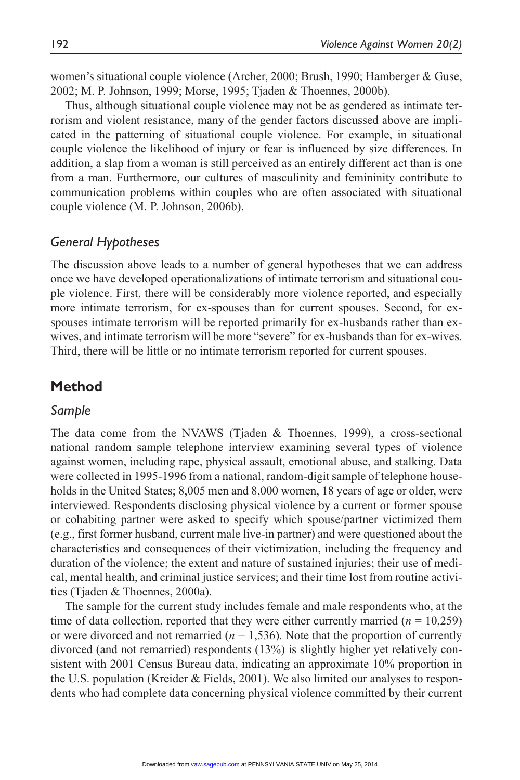women's situational couple violence (Archer, 2000; Brush, 1990; Hamberger & Guse, 2002; M. P. Johnson, 1999; Morse, 1995; Tjaden & Thoennes, 2000b).

Thus, although situational couple violence may not be as gendered as intimate terrorism and violent resistance, many of the gender factors discussed above are implicated in the patterning of situational couple violence. For example, in situational couple violence the likelihood of injury or fear is influenced by size differences. In addition, a slap from a woman is still perceived as an entirely different act than is one from a man. Furthermore, our cultures of masculinity and femininity contribute to communication problems within couples who are often associated with situational couple violence (M. P. Johnson, 2006b).

#### *General Hypotheses*

The discussion above leads to a number of general hypotheses that we can address once we have developed operationalizations of intimate terrorism and situational couple violence. First, there will be considerably more violence reported, and especially more intimate terrorism, for ex-spouses than for current spouses. Second, for exspouses intimate terrorism will be reported primarily for ex-husbands rather than exwives, and intimate terrorism will be more "severe" for ex-husbands than for ex-wives. Third, there will be little or no intimate terrorism reported for current spouses.

# **Method**

#### *Sample*

The data come from the NVAWS (Tjaden & Thoennes, 1999), a cross-sectional national random sample telephone interview examining several types of violence against women, including rape, physical assault, emotional abuse, and stalking. Data were collected in 1995-1996 from a national, random-digit sample of telephone households in the United States; 8,005 men and 8,000 women, 18 years of age or older, were interviewed. Respondents disclosing physical violence by a current or former spouse or cohabiting partner were asked to specify which spouse/partner victimized them (e.g., first former husband, current male live-in partner) and were questioned about the characteristics and consequences of their victimization, including the frequency and duration of the violence; the extent and nature of sustained injuries; their use of medical, mental health, and criminal justice services; and their time lost from routine activities (Tjaden & Thoennes, 2000a).

The sample for the current study includes female and male respondents who, at the time of data collection, reported that they were either currently married  $(n = 10,259)$ or were divorced and not remarried  $(n = 1,536)$ . Note that the proportion of currently divorced (and not remarried) respondents (13%) is slightly higher yet relatively consistent with 2001 Census Bureau data, indicating an approximate 10% proportion in the U.S. population (Kreider & Fields, 2001). We also limited our analyses to respondents who had complete data concerning physical violence committed by their current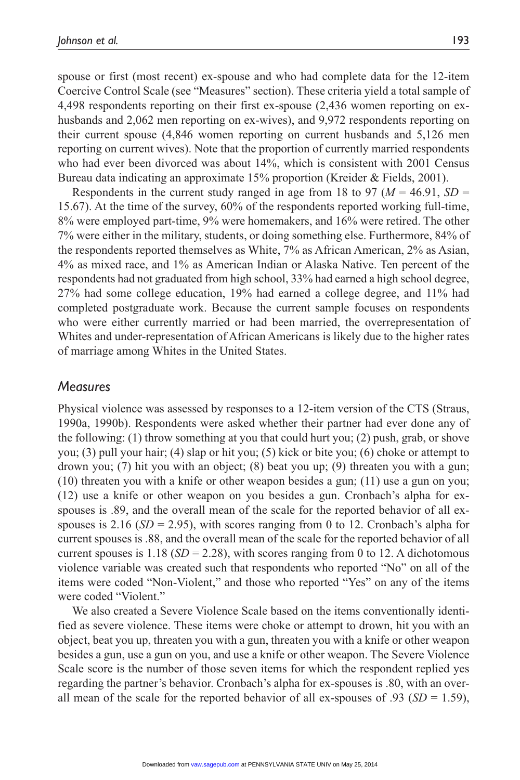spouse or first (most recent) ex-spouse and who had complete data for the 12-item Coercive Control Scale (see "Measures" section). These criteria yield a total sample of 4,498 respondents reporting on their first ex-spouse (2,436 women reporting on exhusbands and 2,062 men reporting on ex-wives), and 9,972 respondents reporting on their current spouse (4,846 women reporting on current husbands and 5,126 men reporting on current wives). Note that the proportion of currently married respondents who had ever been divorced was about 14%, which is consistent with 2001 Census Bureau data indicating an approximate 15% proportion (Kreider & Fields, 2001).

Respondents in the current study ranged in age from 18 to 97 ( $M = 46.91$ ,  $SD =$ 15.67). At the time of the survey, 60% of the respondents reported working full-time, 8% were employed part-time, 9% were homemakers, and 16% were retired. The other 7% were either in the military, students, or doing something else. Furthermore, 84% of the respondents reported themselves as White, 7% as African American, 2% as Asian, 4% as mixed race, and 1% as American Indian or Alaska Native. Ten percent of the respondents had not graduated from high school, 33% had earned a high school degree, 27% had some college education, 19% had earned a college degree, and 11% had completed postgraduate work. Because the current sample focuses on respondents who were either currently married or had been married, the overrepresentation of Whites and under-representation of African Americans is likely due to the higher rates of marriage among Whites in the United States.

#### *Measures*

Physical violence was assessed by responses to a 12-item version of the CTS (Straus, 1990a, 1990b). Respondents were asked whether their partner had ever done any of the following: (1) throw something at you that could hurt you; (2) push, grab, or shove you; (3) pull your hair; (4) slap or hit you; (5) kick or bite you; (6) choke or attempt to drown you; (7) hit you with an object; (8) beat you up; (9) threaten you with a gun; (10) threaten you with a knife or other weapon besides a gun; (11) use a gun on you; (12) use a knife or other weapon on you besides a gun. Cronbach's alpha for exspouses is .89, and the overall mean of the scale for the reported behavior of all exspouses is 2.16 ( $SD = 2.95$ ), with scores ranging from 0 to 12. Cronbach's alpha for current spouses is .88, and the overall mean of the scale for the reported behavior of all current spouses is  $1.18$  ( $SD = 2.28$ ), with scores ranging from 0 to 12. A dichotomous violence variable was created such that respondents who reported "No" on all of the items were coded "Non-Violent," and those who reported "Yes" on any of the items were coded "Violent."

We also created a Severe Violence Scale based on the items conventionally identified as severe violence. These items were choke or attempt to drown, hit you with an object, beat you up, threaten you with a gun, threaten you with a knife or other weapon besides a gun, use a gun on you, and use a knife or other weapon. The Severe Violence Scale score is the number of those seven items for which the respondent replied yes regarding the partner's behavior. Cronbach's alpha for ex-spouses is .80, with an overall mean of the scale for the reported behavior of all ex-spouses of .93 ( $SD = 1.59$ ),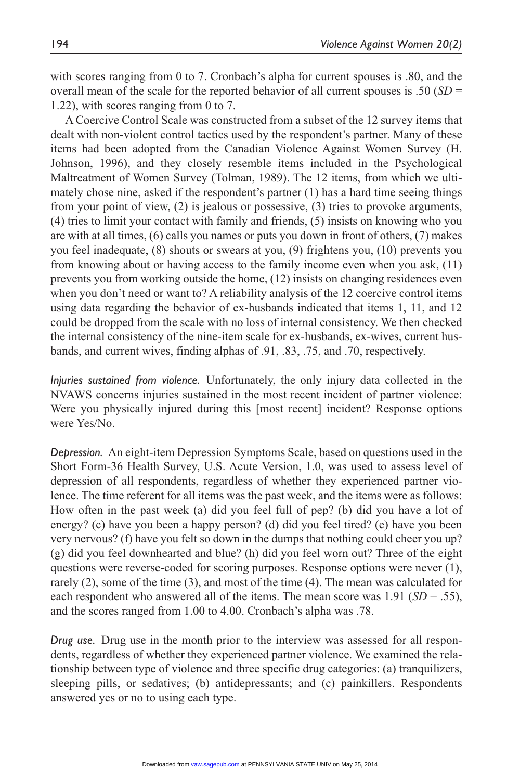with scores ranging from 0 to 7. Cronbach's alpha for current spouses is .80, and the overall mean of the scale for the reported behavior of all current spouses is .50 (*SD* = 1.22), with scores ranging from 0 to 7.

A Coercive Control Scale was constructed from a subset of the 12 survey items that dealt with non-violent control tactics used by the respondent's partner. Many of these items had been adopted from the Canadian Violence Against Women Survey (H. Johnson, 1996), and they closely resemble items included in the Psychological Maltreatment of Women Survey (Tolman, 1989). The 12 items, from which we ultimately chose nine, asked if the respondent's partner (1) has a hard time seeing things from your point of view, (2) is jealous or possessive, (3) tries to provoke arguments, (4) tries to limit your contact with family and friends, (5) insists on knowing who you are with at all times, (6) calls you names or puts you down in front of others, (7) makes you feel inadequate, (8) shouts or swears at you, (9) frightens you, (10) prevents you from knowing about or having access to the family income even when you ask, (11) prevents you from working outside the home, (12) insists on changing residences even when you don't need or want to? A reliability analysis of the 12 coercive control items using data regarding the behavior of ex-husbands indicated that items 1, 11, and 12 could be dropped from the scale with no loss of internal consistency. We then checked the internal consistency of the nine-item scale for ex-husbands, ex-wives, current husbands, and current wives, finding alphas of .91, .83, .75, and .70, respectively.

*Injuries sustained from violence.* Unfortunately, the only injury data collected in the NVAWS concerns injuries sustained in the most recent incident of partner violence: Were you physically injured during this [most recent] incident? Response options were Yes/No.

*Depression.* An eight-item Depression Symptoms Scale, based on questions used in the Short Form-36 Health Survey, U.S. Acute Version, 1.0, was used to assess level of depression of all respondents, regardless of whether they experienced partner violence. The time referent for all items was the past week, and the items were as follows: How often in the past week (a) did you feel full of pep? (b) did you have a lot of energy? (c) have you been a happy person? (d) did you feel tired? (e) have you been very nervous? (f) have you felt so down in the dumps that nothing could cheer you up? (g) did you feel downhearted and blue? (h) did you feel worn out? Three of the eight questions were reverse-coded for scoring purposes. Response options were never (1), rarely (2), some of the time (3), and most of the time (4). The mean was calculated for each respondent who answered all of the items. The mean score was 1.91 (*SD* = .55), and the scores ranged from 1.00 to 4.00. Cronbach's alpha was .78.

*Drug use.* Drug use in the month prior to the interview was assessed for all respondents, regardless of whether they experienced partner violence. We examined the relationship between type of violence and three specific drug categories: (a) tranquilizers, sleeping pills, or sedatives; (b) antidepressants; and (c) painkillers. Respondents answered yes or no to using each type.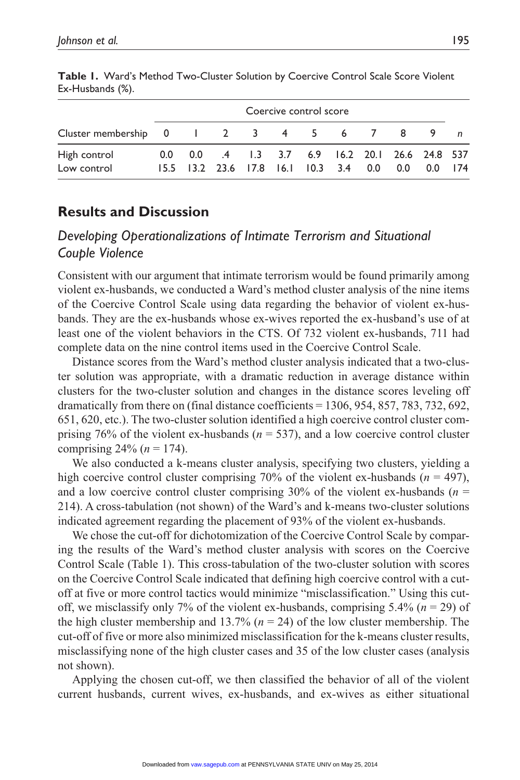| Coercive control score                                                                                 |  |  |                                                   |  |  |  |  |  |  |
|--------------------------------------------------------------------------------------------------------|--|--|---------------------------------------------------|--|--|--|--|--|--|
| Cluster membership $0 \quad 1 \quad 2 \quad 3 \quad 4 \quad 5 \quad 6 \quad 7 \quad 8 \quad 9 \quad n$ |  |  |                                                   |  |  |  |  |  |  |
| High control                                                                                           |  |  | 0.0 0.0 .4 1.3 3.7 6.9 16.2 20.1 26.6 24.8 537    |  |  |  |  |  |  |
| Low control                                                                                            |  |  | 15.5 13.2 23.6 17.8 16.1 10.3 3.4 0.0 0.0 0.0 174 |  |  |  |  |  |  |

**Table 1.** Ward's Method Two-Cluster Solution by Coercive Control Scale Score Violent Ex-Husbands (%).

# **Results and Discussion**

# *Developing Operationalizations of Intimate Terrorism and Situational Couple Violence*

Consistent with our argument that intimate terrorism would be found primarily among violent ex-husbands, we conducted a Ward's method cluster analysis of the nine items of the Coercive Control Scale using data regarding the behavior of violent ex-husbands. They are the ex-husbands whose ex-wives reported the ex-husband's use of at least one of the violent behaviors in the CTS. Of 732 violent ex-husbands, 711 had complete data on the nine control items used in the Coercive Control Scale.

Distance scores from the Ward's method cluster analysis indicated that a two-cluster solution was appropriate, with a dramatic reduction in average distance within clusters for the two-cluster solution and changes in the distance scores leveling off dramatically from there on (final distance coefficients = 1306, 954, 857, 783, 732, 692, 651, 620, etc.). The two-cluster solution identified a high coercive control cluster comprising 76% of the violent ex-husbands ( $n = 537$ ), and a low coercive control cluster comprising  $24\%$  ( $n = 174$ ).

We also conducted a k-means cluster analysis, specifying two clusters, yielding a high coercive control cluster comprising 70% of the violent ex-husbands (*n* = 497), and a low coercive control cluster comprising  $30\%$  of the violent ex-husbands ( $n =$ 214). A cross-tabulation (not shown) of the Ward's and k-means two-cluster solutions indicated agreement regarding the placement of 93% of the violent ex-husbands.

We chose the cut-off for dichotomization of the Coercive Control Scale by comparing the results of the Ward's method cluster analysis with scores on the Coercive Control Scale (Table 1). This cross-tabulation of the two-cluster solution with scores on the Coercive Control Scale indicated that defining high coercive control with a cutoff at five or more control tactics would minimize "misclassification." Using this cutoff, we misclassify only 7% of the violent ex-husbands, comprising 5.4% (*n* = 29) of the high cluster membership and 13.7% ( $n = 24$ ) of the low cluster membership. The cut-off of five or more also minimized misclassification for the k-means cluster results, misclassifying none of the high cluster cases and 35 of the low cluster cases (analysis not shown).

Applying the chosen cut-off, we then classified the behavior of all of the violent current husbands, current wives, ex-husbands, and ex-wives as either situational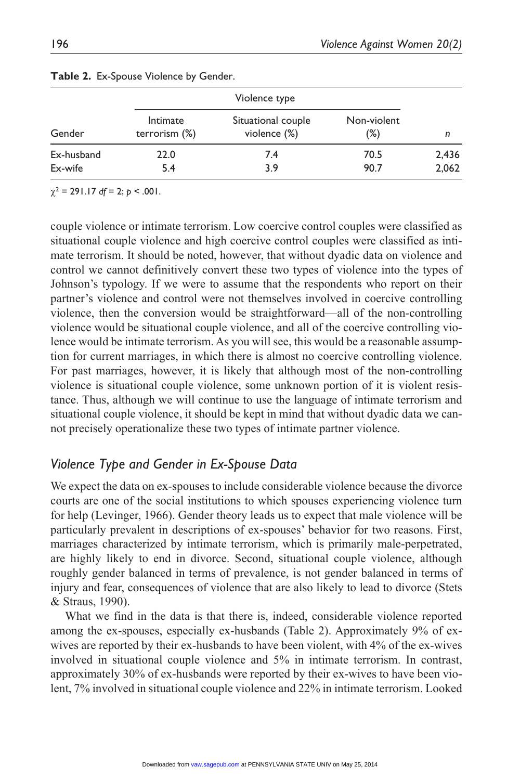| Gender     |                              |                                    |                       |       |
|------------|------------------------------|------------------------------------|-----------------------|-------|
|            | Intimate<br>terrorism $(\%)$ | Situational couple<br>violence (%) | Non-violent<br>$(\%)$ | n     |
| Ex-husband | 22.0                         | 7.4                                | 70.5                  | 2,436 |
| Ex-wife    | 5.4                          | 3.9                                | 90.7                  | 2,062 |

#### **Table 2.** Ex-Spouse Violence by Gender.

 $\chi^2$  = 291.17 *df* = 2; *p* < .001.

couple violence or intimate terrorism. Low coercive control couples were classified as situational couple violence and high coercive control couples were classified as intimate terrorism. It should be noted, however, that without dyadic data on violence and control we cannot definitively convert these two types of violence into the types of Johnson's typology. If we were to assume that the respondents who report on their partner's violence and control were not themselves involved in coercive controlling violence, then the conversion would be straightforward—all of the non-controlling violence would be situational couple violence, and all of the coercive controlling violence would be intimate terrorism. As you will see, this would be a reasonable assumption for current marriages, in which there is almost no coercive controlling violence. For past marriages, however, it is likely that although most of the non-controlling violence is situational couple violence, some unknown portion of it is violent resistance. Thus, although we will continue to use the language of intimate terrorism and situational couple violence, it should be kept in mind that without dyadic data we cannot precisely operationalize these two types of intimate partner violence.

# *Violence Type and Gender in Ex-Spouse Data*

We expect the data on ex-spouses to include considerable violence because the divorce courts are one of the social institutions to which spouses experiencing violence turn for help (Levinger, 1966). Gender theory leads us to expect that male violence will be particularly prevalent in descriptions of ex-spouses' behavior for two reasons. First, marriages characterized by intimate terrorism, which is primarily male-perpetrated, are highly likely to end in divorce. Second, situational couple violence, although roughly gender balanced in terms of prevalence, is not gender balanced in terms of injury and fear, consequences of violence that are also likely to lead to divorce (Stets & Straus, 1990).

What we find in the data is that there is, indeed, considerable violence reported among the ex-spouses, especially ex-husbands (Table 2). Approximately 9% of exwives are reported by their ex-husbands to have been violent, with 4% of the ex-wives involved in situational couple violence and 5% in intimate terrorism. In contrast, approximately 30% of ex-husbands were reported by their ex-wives to have been violent, 7% involved in situational couple violence and 22% in intimate terrorism. Looked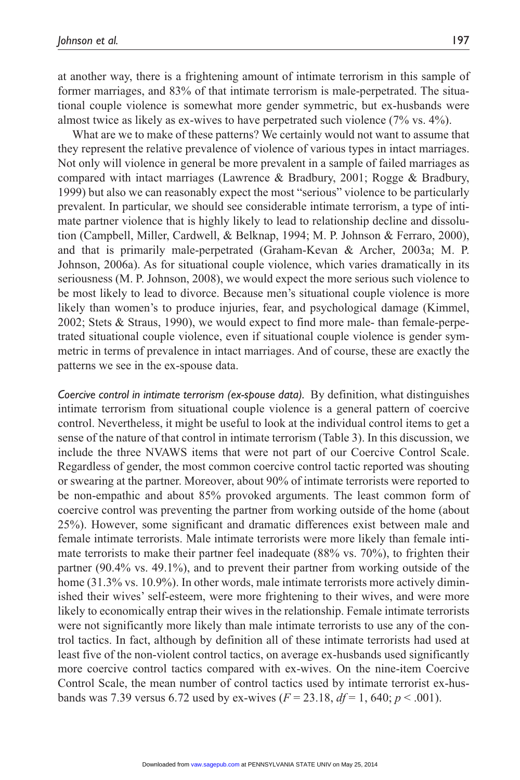at another way, there is a frightening amount of intimate terrorism in this sample of former marriages, and 83% of that intimate terrorism is male-perpetrated. The situational couple violence is somewhat more gender symmetric, but ex-husbands were almost twice as likely as ex-wives to have perpetrated such violence (7% vs. 4%).

What are we to make of these patterns? We certainly would not want to assume that they represent the relative prevalence of violence of various types in intact marriages. Not only will violence in general be more prevalent in a sample of failed marriages as compared with intact marriages (Lawrence & Bradbury, 2001; Rogge & Bradbury, 1999) but also we can reasonably expect the most "serious" violence to be particularly prevalent. In particular, we should see considerable intimate terrorism, a type of intimate partner violence that is highly likely to lead to relationship decline and dissolution (Campbell, Miller, Cardwell, & Belknap, 1994; M. P. Johnson & Ferraro, 2000), and that is primarily male-perpetrated (Graham-Kevan & Archer, 2003a; M. P. Johnson, 2006a). As for situational couple violence, which varies dramatically in its seriousness (M. P. Johnson, 2008), we would expect the more serious such violence to be most likely to lead to divorce. Because men's situational couple violence is more likely than women's to produce injuries, fear, and psychological damage (Kimmel, 2002; Stets & Straus, 1990), we would expect to find more male- than female-perpetrated situational couple violence, even if situational couple violence is gender symmetric in terms of prevalence in intact marriages. And of course, these are exactly the patterns we see in the ex-spouse data.

*Coercive control in intimate terrorism (ex-spouse data).* By definition, what distinguishes intimate terrorism from situational couple violence is a general pattern of coercive control. Nevertheless, it might be useful to look at the individual control items to get a sense of the nature of that control in intimate terrorism (Table 3). In this discussion, we include the three NVAWS items that were not part of our Coercive Control Scale. Regardless of gender, the most common coercive control tactic reported was shouting or swearing at the partner. Moreover, about 90% of intimate terrorists were reported to be non-empathic and about 85% provoked arguments. The least common form of coercive control was preventing the partner from working outside of the home (about 25%). However, some significant and dramatic differences exist between male and female intimate terrorists. Male intimate terrorists were more likely than female intimate terrorists to make their partner feel inadequate (88% vs. 70%), to frighten their partner (90.4% vs. 49.1%), and to prevent their partner from working outside of the home (31.3% vs. 10.9%). In other words, male intimate terrorists more actively diminished their wives' self-esteem, were more frightening to their wives, and were more likely to economically entrap their wives in the relationship. Female intimate terrorists were not significantly more likely than male intimate terrorists to use any of the control tactics. In fact, although by definition all of these intimate terrorists had used at least five of the non-violent control tactics, on average ex-husbands used significantly more coercive control tactics compared with ex-wives. On the nine-item Coercive Control Scale, the mean number of control tactics used by intimate terrorist ex-husbands was 7.39 versus 6.72 used by ex-wives  $(F = 23.18, df = 1, 640; p < .001)$ .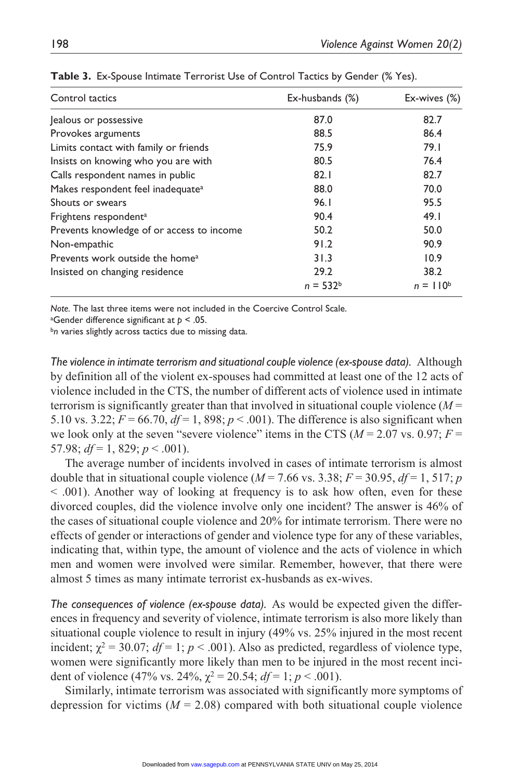| Control tactics                               | Ex-husbands (%) | Ex-wives (%)  |
|-----------------------------------------------|-----------------|---------------|
| Jealous or possessive                         | 87.0            | 82.7          |
| Provokes arguments                            | 88.5            | 86.4          |
| Limits contact with family or friends         | 75.9            | 79.1          |
| Insists on knowing who you are with           | 80.5            | 76.4          |
| Calls respondent names in public              | 82.1            | 82.7          |
| Makes respondent feel inadequate <sup>a</sup> | 88.0            | 70.0          |
| Shouts or swears                              | 96.1            | 95.5          |
| Frightens respondent <sup>a</sup>             | 90.4            | 49.1          |
| Prevents knowledge of or access to income     | 50.2            | 50.0          |
| Non-empathic                                  | 91.2            | 90.9          |
| Prevents work outside the home <sup>a</sup>   | 31.3            | 10.9          |
| Insisted on changing residence                | 29.2            | 38.2          |
|                                               | $n = 532^b$     | $n = 110^{6}$ |

Table 3. Ex-Spouse Intimate Terrorist Use of Control Tactics by Gender (% Yes).

*Note.* The last three items were not included in the Coercive Control Scale.

a Gender difference significant at *p* < .05.

b<sub>n</sub> varies slightly across tactics due to missing data.

*The violence in intimate terrorism and situational couple violence (ex-spouse data).* Although by definition all of the violent ex-spouses had committed at least one of the 12 acts of violence included in the CTS, the number of different acts of violence used in intimate terrorism is significantly greater than that involved in situational couple violence  $(M =$ 5.10 vs. 3.22;  $F = 66.70$ ,  $df = 1$ , 898;  $p < .001$ ). The difference is also significant when we look only at the seven "severe violence" items in the CTS  $(M = 2.07 \text{ vs. } 0.97; F =$ 57.98;  $df = 1$ , 829;  $p < .001$ ).

The average number of incidents involved in cases of intimate terrorism is almost double that in situational couple violence ( $M = 7.66$  vs. 3.38;  $F = 30.95$ ,  $df = 1$ , 517; *p* < .001). Another way of looking at frequency is to ask how often, even for these divorced couples, did the violence involve only one incident? The answer is 46% of the cases of situational couple violence and 20% for intimate terrorism. There were no effects of gender or interactions of gender and violence type for any of these variables, indicating that, within type, the amount of violence and the acts of violence in which men and women were involved were similar. Remember, however, that there were almost 5 times as many intimate terrorist ex-husbands as ex-wives.

*The consequences of violence (ex-spouse data).* As would be expected given the differences in frequency and severity of violence, intimate terrorism is also more likely than situational couple violence to result in injury (49% vs. 25% injured in the most recent incident;  $\chi^2 = 30.07$ ;  $df = 1$ ;  $p < .001$ ). Also as predicted, regardless of violence type, women were significantly more likely than men to be injured in the most recent incident of violence (47% vs. 24%,  $\chi^2 = 20.54$ ;  $df = 1$ ;  $p < .001$ ).

Similarly, intimate terrorism was associated with significantly more symptoms of depression for victims  $(M = 2.08)$  compared with both situational couple violence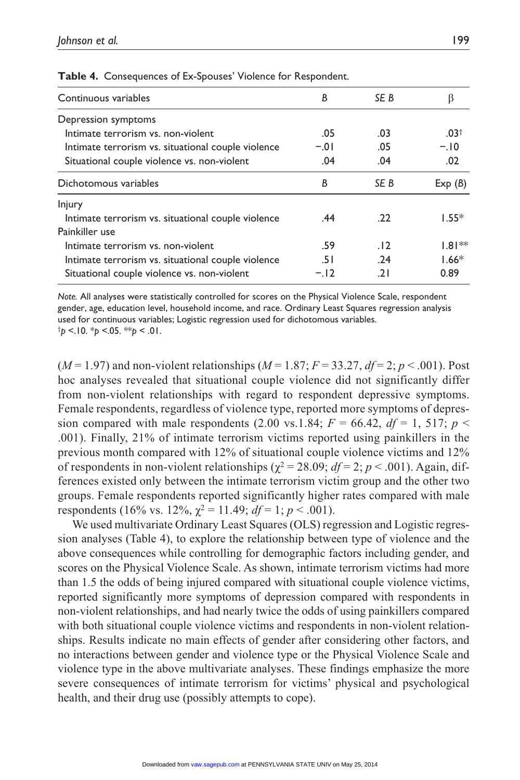| В      | SE B            |                  |
|--------|-----------------|------------------|
|        |                 |                  |
| .05    | .03             | .03 <sup>†</sup> |
| $-.01$ | .05             | $-.10$           |
| .04    | .04             | .02              |
| В      | SE B            | Exp(B)           |
|        |                 |                  |
| .44    | .22             | $1.55*$          |
|        |                 |                  |
| .59    | $\overline{12}$ | $1.81**$         |
| -51    | .24             | $1.66*$          |
| $-.12$ | ا 2.            | 0.89             |
|        |                 |                  |

**Table 4.** Consequences of Ex-Spouses' Violence for Respondent.

*Note.* All analyses were statistically controlled for scores on the Physical Violence Scale, respondent gender, age, education level, household income, and race. Ordinary Least Squares regression analysis used for continuous variables; Logistic regression used for dichotomous variables. †*p* <.10. \**p* <.05. \*\**p* < .01.

 $(M=1.97)$  and non-violent relationships  $(M=1.87; F=33.27, df=2; p<.001)$ . Post hoc analyses revealed that situational couple violence did not significantly differ from non-violent relationships with regard to respondent depressive symptoms. Female respondents, regardless of violence type, reported more symptoms of depression compared with male respondents (2.00 vs.1.84;  $F = 66.42$ ,  $df = 1$ , 517;  $p <$ .001). Finally, 21% of intimate terrorism victims reported using painkillers in the previous month compared with 12% of situational couple violence victims and 12% of respondents in non-violent relationships ( $\chi^2 = 28.09$ ;  $df = 2$ ;  $p < .001$ ). Again, differences existed only between the intimate terrorism victim group and the other two groups. Female respondents reported significantly higher rates compared with male respondents (16% vs. 12%,  $\gamma^2 = 11.49$ ;  $df = 1$ ;  $p < .001$ ).

We used multivariate Ordinary Least Squares (OLS) regression and Logistic regression analyses (Table 4), to explore the relationship between type of violence and the above consequences while controlling for demographic factors including gender, and scores on the Physical Violence Scale. As shown, intimate terrorism victims had more than 1.5 the odds of being injured compared with situational couple violence victims, reported significantly more symptoms of depression compared with respondents in non-violent relationships, and had nearly twice the odds of using painkillers compared with both situational couple violence victims and respondents in non-violent relationships. Results indicate no main effects of gender after considering other factors, and no interactions between gender and violence type or the Physical Violence Scale and violence type in the above multivariate analyses. These findings emphasize the more severe consequences of intimate terrorism for victims' physical and psychological health, and their drug use (possibly attempts to cope).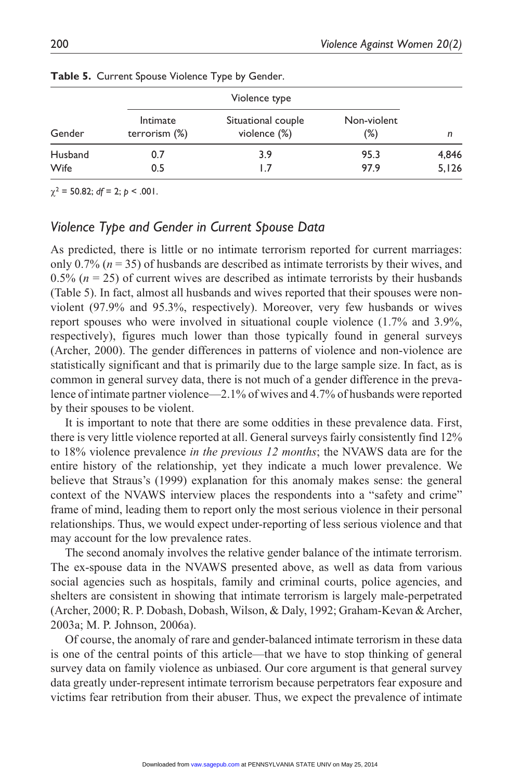| Gender  | Violence type             |                                    |                       |       |  |  |
|---------|---------------------------|------------------------------------|-----------------------|-------|--|--|
|         | Intimate<br>terrorism (%) | Situational couple<br>violence (%) | Non-violent<br>$(\%)$ | n     |  |  |
| Husband | 0.7                       | 3.9                                | 95.3                  | 4,846 |  |  |
| Wife    | 0.5                       |                                    | 97.9                  | 5,126 |  |  |

**Table 5.** Current Spouse Violence Type by Gender.

 $\chi^2$  = 50.82; *df* = 2; *p* < .001.

# *Violence Type and Gender in Current Spouse Data*

As predicted, there is little or no intimate terrorism reported for current marriages: only  $0.7\%$  ( $n = 35$ ) of husbands are described as intimate terrorists by their wives, and 0.5% ( $n = 25$ ) of current wives are described as intimate terrorists by their husbands (Table 5). In fact, almost all husbands and wives reported that their spouses were nonviolent (97.9% and 95.3%, respectively). Moreover, very few husbands or wives report spouses who were involved in situational couple violence (1.7% and 3.9%, respectively), figures much lower than those typically found in general surveys (Archer, 2000). The gender differences in patterns of violence and non-violence are statistically significant and that is primarily due to the large sample size. In fact, as is common in general survey data, there is not much of a gender difference in the prevalence of intimate partner violence—2.1% of wives and 4.7% of husbands were reported by their spouses to be violent.

It is important to note that there are some oddities in these prevalence data. First, there is very little violence reported at all. General surveys fairly consistently find 12% to 18% violence prevalence *in the previous 12 months*; the NVAWS data are for the entire history of the relationship, yet they indicate a much lower prevalence. We believe that Straus's (1999) explanation for this anomaly makes sense: the general context of the NVAWS interview places the respondents into a "safety and crime" frame of mind, leading them to report only the most serious violence in their personal relationships. Thus, we would expect under-reporting of less serious violence and that may account for the low prevalence rates.

The second anomaly involves the relative gender balance of the intimate terrorism. The ex-spouse data in the NVAWS presented above, as well as data from various social agencies such as hospitals, family and criminal courts, police agencies, and shelters are consistent in showing that intimate terrorism is largely male-perpetrated (Archer, 2000; R. P. Dobash, Dobash, Wilson, & Daly, 1992; Graham-Kevan & Archer, 2003a; M. P. Johnson, 2006a).

Of course, the anomaly of rare and gender-balanced intimate terrorism in these data is one of the central points of this article—that we have to stop thinking of general survey data on family violence as unbiased. Our core argument is that general survey data greatly under-represent intimate terrorism because perpetrators fear exposure and victims fear retribution from their abuser. Thus, we expect the prevalence of intimate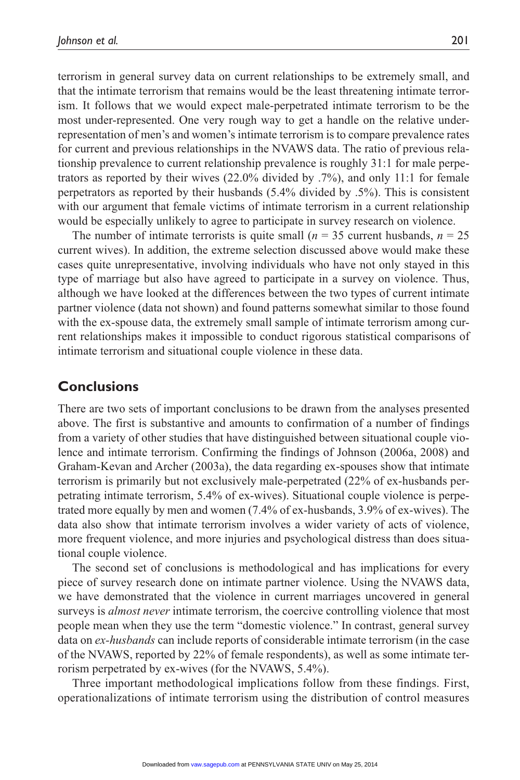terrorism in general survey data on current relationships to be extremely small, and that the intimate terrorism that remains would be the least threatening intimate terrorism. It follows that we would expect male-perpetrated intimate terrorism to be the most under-represented. One very rough way to get a handle on the relative underrepresentation of men's and women's intimate terrorism is to compare prevalence rates for current and previous relationships in the NVAWS data. The ratio of previous relationship prevalence to current relationship prevalence is roughly 31:1 for male perpetrators as reported by their wives (22.0% divided by .7%), and only 11:1 for female perpetrators as reported by their husbands (5.4% divided by .5%). This is consistent with our argument that female victims of intimate terrorism in a current relationship would be especially unlikely to agree to participate in survey research on violence.

The number of intimate terrorists is quite small  $(n = 35$  current husbands,  $n = 25$ current wives). In addition, the extreme selection discussed above would make these cases quite unrepresentative, involving individuals who have not only stayed in this type of marriage but also have agreed to participate in a survey on violence. Thus, although we have looked at the differences between the two types of current intimate partner violence (data not shown) and found patterns somewhat similar to those found with the ex-spouse data, the extremely small sample of intimate terrorism among current relationships makes it impossible to conduct rigorous statistical comparisons of intimate terrorism and situational couple violence in these data.

# **Conclusions**

There are two sets of important conclusions to be drawn from the analyses presented above. The first is substantive and amounts to confirmation of a number of findings from a variety of other studies that have distinguished between situational couple violence and intimate terrorism. Confirming the findings of Johnson (2006a, 2008) and Graham-Kevan and Archer (2003a), the data regarding ex-spouses show that intimate terrorism is primarily but not exclusively male-perpetrated (22% of ex-husbands perpetrating intimate terrorism, 5.4% of ex-wives). Situational couple violence is perpetrated more equally by men and women (7.4% of ex-husbands, 3.9% of ex-wives). The data also show that intimate terrorism involves a wider variety of acts of violence, more frequent violence, and more injuries and psychological distress than does situational couple violence.

The second set of conclusions is methodological and has implications for every piece of survey research done on intimate partner violence. Using the NVAWS data, we have demonstrated that the violence in current marriages uncovered in general surveys is *almost never* intimate terrorism, the coercive controlling violence that most people mean when they use the term "domestic violence." In contrast, general survey data on *ex-husbands* can include reports of considerable intimate terrorism (in the case of the NVAWS, reported by 22% of female respondents), as well as some intimate terrorism perpetrated by ex-wives (for the NVAWS, 5.4%).

Three important methodological implications follow from these findings. First, operationalizations of intimate terrorism using the distribution of control measures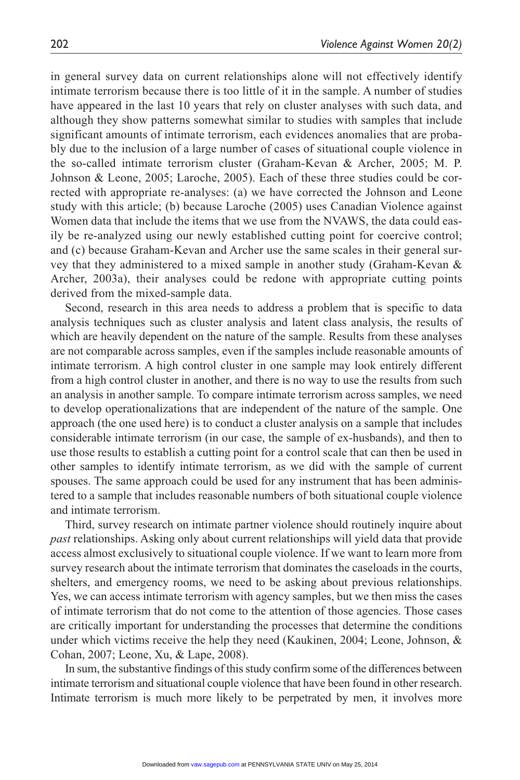in general survey data on current relationships alone will not effectively identify intimate terrorism because there is too little of it in the sample. A number of studies have appeared in the last 10 years that rely on cluster analyses with such data, and although they show patterns somewhat similar to studies with samples that include significant amounts of intimate terrorism, each evidences anomalies that are probably due to the inclusion of a large number of cases of situational couple violence in the so-called intimate terrorism cluster (Graham-Kevan & Archer, 2005; M. P. Johnson & Leone, 2005; Laroche, 2005). Each of these three studies could be corrected with appropriate re-analyses: (a) we have corrected the Johnson and Leone study with this article; (b) because Laroche (2005) uses Canadian Violence against Women data that include the items that we use from the NVAWS, the data could easily be re-analyzed using our newly established cutting point for coercive control; and (c) because Graham-Kevan and Archer use the same scales in their general survey that they administered to a mixed sample in another study (Graham-Kevan & Archer, 2003a), their analyses could be redone with appropriate cutting points derived from the mixed-sample data.

Second, research in this area needs to address a problem that is specific to data analysis techniques such as cluster analysis and latent class analysis, the results of which are heavily dependent on the nature of the sample. Results from these analyses are not comparable across samples, even if the samples include reasonable amounts of intimate terrorism. A high control cluster in one sample may look entirely different from a high control cluster in another, and there is no way to use the results from such an analysis in another sample. To compare intimate terrorism across samples, we need to develop operationalizations that are independent of the nature of the sample. One approach (the one used here) is to conduct a cluster analysis on a sample that includes considerable intimate terrorism (in our case, the sample of ex-husbands), and then to use those results to establish a cutting point for a control scale that can then be used in other samples to identify intimate terrorism, as we did with the sample of current spouses. The same approach could be used for any instrument that has been administered to a sample that includes reasonable numbers of both situational couple violence and intimate terrorism.

Third, survey research on intimate partner violence should routinely inquire about *past* relationships. Asking only about current relationships will yield data that provide access almost exclusively to situational couple violence. If we want to learn more from survey research about the intimate terrorism that dominates the caseloads in the courts, shelters, and emergency rooms, we need to be asking about previous relationships. Yes, we can access intimate terrorism with agency samples, but we then miss the cases of intimate terrorism that do not come to the attention of those agencies. Those cases are critically important for understanding the processes that determine the conditions under which victims receive the help they need (Kaukinen, 2004; Leone, Johnson, & Cohan, 2007; Leone, Xu, & Lape, 2008).

In sum, the substantive findings of this study confirm some of the differences between intimate terrorism and situational couple violence that have been found in other research. Intimate terrorism is much more likely to be perpetrated by men, it involves more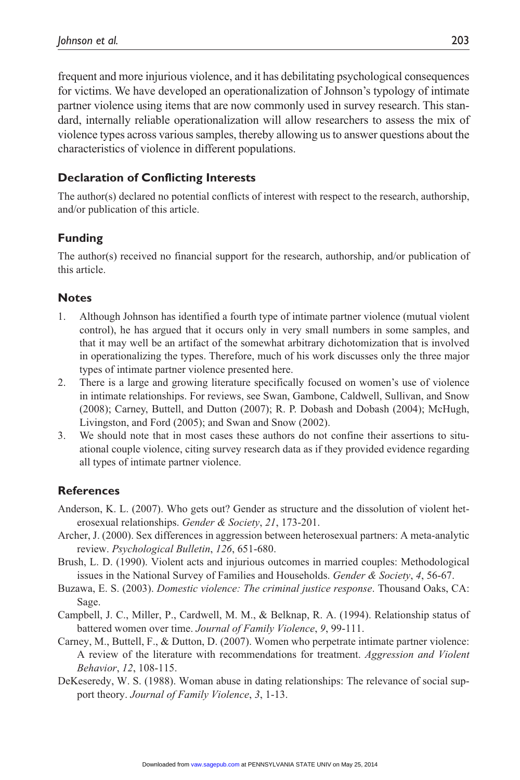frequent and more injurious violence, and it has debilitating psychological consequences for victims. We have developed an operationalization of Johnson's typology of intimate partner violence using items that are now commonly used in survey research. This standard, internally reliable operationalization will allow researchers to assess the mix of violence types across various samples, thereby allowing us to answer questions about the characteristics of violence in different populations.

### **Declaration of Conflicting Interests**

The author(s) declared no potential conflicts of interest with respect to the research, authorship, and/or publication of this article.

# **Funding**

The author(s) received no financial support for the research, authorship, and/or publication of this article.

#### **Notes**

- 1. Although Johnson has identified a fourth type of intimate partner violence (mutual violent control), he has argued that it occurs only in very small numbers in some samples, and that it may well be an artifact of the somewhat arbitrary dichotomization that is involved in operationalizing the types. Therefore, much of his work discusses only the three major types of intimate partner violence presented here.
- 2. There is a large and growing literature specifically focused on women's use of violence in intimate relationships. For reviews, see Swan, Gambone, Caldwell, Sullivan, and Snow (2008); Carney, Buttell, and Dutton (2007); R. P. Dobash and Dobash (2004); McHugh, Livingston, and Ford (2005); and Swan and Snow (2002).
- 3. We should note that in most cases these authors do not confine their assertions to situational couple violence, citing survey research data as if they provided evidence regarding all types of intimate partner violence.

#### **References**

- Anderson, K. L. (2007). Who gets out? Gender as structure and the dissolution of violent heterosexual relationships. *Gender & Society*, *21*, 173-201.
- Archer, J. (2000). Sex differences in aggression between heterosexual partners: A meta-analytic review. *Psychological Bulletin*, *126*, 651-680.
- Brush, L. D. (1990). Violent acts and injurious outcomes in married couples: Methodological issues in the National Survey of Families and Households. *Gender & Society*, *4*, 56-67.
- Buzawa, E. S. (2003). *Domestic violence: The criminal justice response*. Thousand Oaks, CA: Sage.
- Campbell, J. C., Miller, P., Cardwell, M. M., & Belknap, R. A. (1994). Relationship status of battered women over time. *Journal of Family Violence*, *9*, 99-111.
- Carney, M., Buttell, F., & Dutton, D. (2007). Women who perpetrate intimate partner violence: A review of the literature with recommendations for treatment. *Aggression and Violent Behavior*, *12*, 108-115.
- DeKeseredy, W. S. (1988). Woman abuse in dating relationships: The relevance of social support theory. *Journal of Family Violence*, *3*, 1-13.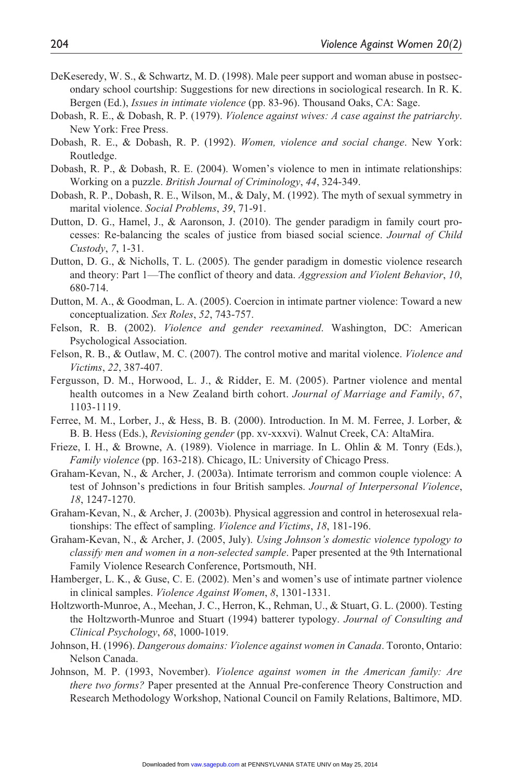- DeKeseredy, W. S., & Schwartz, M. D. (1998). Male peer support and woman abuse in postsecondary school courtship: Suggestions for new directions in sociological research. In R. K. Bergen (Ed.), *Issues in intimate violence* (pp. 83-96). Thousand Oaks, CA: Sage.
- Dobash, R. E., & Dobash, R. P. (1979). *Violence against wives: A case against the patriarchy*. New York: Free Press.
- Dobash, R. E., & Dobash, R. P. (1992). *Women, violence and social change*. New York: Routledge.
- Dobash, R. P., & Dobash, R. E. (2004). Women's violence to men in intimate relationships: Working on a puzzle. *British Journal of Criminology*, *44*, 324-349.
- Dobash, R. P., Dobash, R. E., Wilson, M., & Daly, M. (1992). The myth of sexual symmetry in marital violence. *Social Problems*, *39*, 71-91.
- Dutton, D. G., Hamel, J., & Aaronson, J. (2010). The gender paradigm in family court processes: Re-balancing the scales of justice from biased social science. *Journal of Child Custody*, *7*, 1-31.
- Dutton, D. G., & Nicholls, T. L. (2005). The gender paradigm in domestic violence research and theory: Part 1—The conflict of theory and data. *Aggression and Violent Behavior*, *10*, 680-714.
- Dutton, M. A., & Goodman, L. A. (2005). Coercion in intimate partner violence: Toward a new conceptualization. *Sex Roles*, *52*, 743-757.
- Felson, R. B. (2002). *Violence and gender reexamined*. Washington, DC: American Psychological Association.
- Felson, R. B., & Outlaw, M. C. (2007). The control motive and marital violence. *Violence and Victims*, *22*, 387-407.
- Fergusson, D. M., Horwood, L. J., & Ridder, E. M. (2005). Partner violence and mental health outcomes in a New Zealand birth cohort. *Journal of Marriage and Family*, *67*, 1103-1119.
- Ferree, M. M., Lorber, J., & Hess, B. B. (2000). Introduction. In M. M. Ferree, J. Lorber, & B. B. Hess (Eds.), *Revisioning gender* (pp. xv-xxxvi). Walnut Creek, CA: AltaMira.
- Frieze, I. H., & Browne, A. (1989). Violence in marriage. In L. Ohlin & M. Tonry (Eds.), *Family violence* (pp. 163-218). Chicago, IL: University of Chicago Press.
- Graham-Kevan, N., & Archer, J. (2003a). Intimate terrorism and common couple violence: A test of Johnson's predictions in four British samples. *Journal of Interpersonal Violence*, *18*, 1247-1270.
- Graham-Kevan, N., & Archer, J. (2003b). Physical aggression and control in heterosexual relationships: The effect of sampling. *Violence and Victims*, *18*, 181-196.
- Graham-Kevan, N., & Archer, J. (2005, July). *Using Johnson's domestic violence typology to classify men and women in a non-selected sample*. Paper presented at the 9th International Family Violence Research Conference, Portsmouth, NH.
- Hamberger, L. K., & Guse, C. E. (2002). Men's and women's use of intimate partner violence in clinical samples. *Violence Against Women*, *8*, 1301-1331.
- Holtzworth-Munroe, A., Meehan, J. C., Herron, K., Rehman, U., & Stuart, G. L. (2000). Testing the Holtzworth-Munroe and Stuart (1994) batterer typology. *Journal of Consulting and Clinical Psychology*, *68*, 1000-1019.
- Johnson, H. (1996). *Dangerous domains: Violence against women in Canada*. Toronto, Ontario: Nelson Canada.
- Johnson, M. P. (1993, November). *Violence against women in the American family: Are there two forms?* Paper presented at the Annual Pre-conference Theory Construction and Research Methodology Workshop, National Council on Family Relations, Baltimore, MD.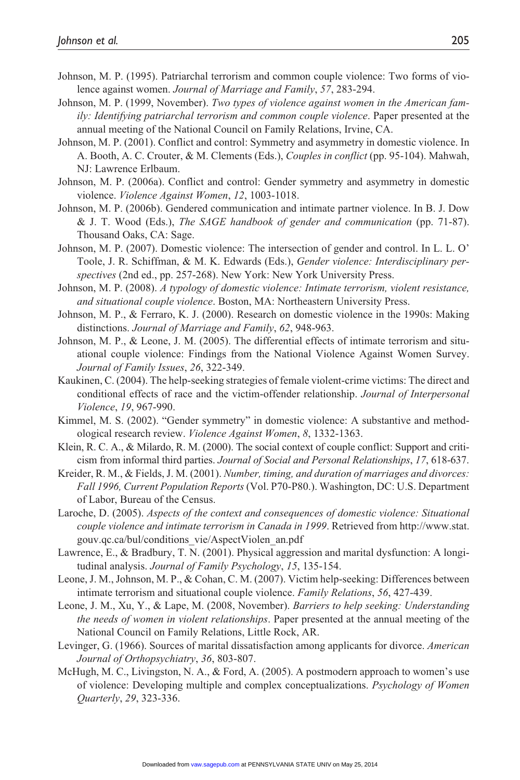- Johnson, M. P. (1995). Patriarchal terrorism and common couple violence: Two forms of violence against women. *Journal of Marriage and Family*, *57*, 283-294.
- Johnson, M. P. (1999, November). *Two types of violence against women in the American family: Identifying patriarchal terrorism and common couple violence*. Paper presented at the annual meeting of the National Council on Family Relations, Irvine, CA.
- Johnson, M. P. (2001). Conflict and control: Symmetry and asymmetry in domestic violence. In A. Booth, A. C. Crouter, & M. Clements (Eds.), *Couples in conflict* (pp. 95-104). Mahwah, NJ: Lawrence Erlbaum.
- Johnson, M. P. (2006a). Conflict and control: Gender symmetry and asymmetry in domestic violence. *Violence Against Women*, *12*, 1003-1018.
- Johnson, M. P. (2006b). Gendered communication and intimate partner violence. In B. J. Dow & J. T. Wood (Eds.), *The SAGE handbook of gender and communication* (pp. 71-87). Thousand Oaks, CA: Sage.
- Johnson, M. P. (2007). Domestic violence: The intersection of gender and control. In L. L. O' Toole, J. R. Schiffman, & M. K. Edwards (Eds.), *Gender violence: Interdisciplinary perspectives* (2nd ed., pp. 257-268). New York: New York University Press.
- Johnson, M. P. (2008). *A typology of domestic violence: Intimate terrorism, violent resistance, and situational couple violence*. Boston, MA: Northeastern University Press.
- Johnson, M. P., & Ferraro, K. J. (2000). Research on domestic violence in the 1990s: Making distinctions. *Journal of Marriage and Family*, *62*, 948-963.
- Johnson, M. P., & Leone, J. M. (2005). The differential effects of intimate terrorism and situational couple violence: Findings from the National Violence Against Women Survey. *Journal of Family Issues*, *26*, 322-349.
- Kaukinen, C. (2004). The help-seeking strategies of female violent-crime victims: The direct and conditional effects of race and the victim-offender relationship. *Journal of Interpersonal Violence*, *19*, 967-990.
- Kimmel, M. S. (2002). "Gender symmetry" in domestic violence: A substantive and methodological research review. *Violence Against Women*, *8*, 1332-1363.
- Klein, R. C. A., & Milardo, R. M. (2000). The social context of couple conflict: Support and criticism from informal third parties. *Journal of Social and Personal Relationships*, *17*, 618-637.
- Kreider, R. M., & Fields, J. M. (2001). *Number, timing, and duration of marriages and divorces: Fall 1996, Current Population Reports* (Vol. P70-P80.). Washington, DC: U.S. Department of Labor, Bureau of the Census.
- Laroche, D. (2005). *Aspects of the context and consequences of domestic violence: Situational couple violence and intimate terrorism in Canada in 1999*. Retrieved from [http://www.stat.](http://www.stat.gouv.qc.ca/bul/conditions_vie/AspectViolen_an.pdf) [gouv.qc.ca/bul/conditions\\_vie/AspectViolen\\_an.pdf](http://www.stat.gouv.qc.ca/bul/conditions_vie/AspectViolen_an.pdf)
- Lawrence, E., & Bradbury, T. N. (2001). Physical aggression and marital dysfunction: A longitudinal analysis. *Journal of Family Psychology*, *15*, 135-154.
- Leone, J. M., Johnson, M. P., & Cohan, C. M. (2007). Victim help-seeking: Differences between intimate terrorism and situational couple violence. *Family Relations*, *56*, 427-439.
- Leone, J. M., Xu, Y., & Lape, M. (2008, November). *Barriers to help seeking: Understanding the needs of women in violent relationships*. Paper presented at the annual meeting of the National Council on Family Relations, Little Rock, AR.
- Levinger, G. (1966). Sources of marital dissatisfaction among applicants for divorce. *American Journal of Orthopsychiatry*, *36*, 803-807.
- McHugh, M. C., Livingston, N. A., & Ford, A. (2005). A postmodern approach to women's use of violence: Developing multiple and complex conceptualizations. *Psychology of Women Quarterly*, *29*, 323-336.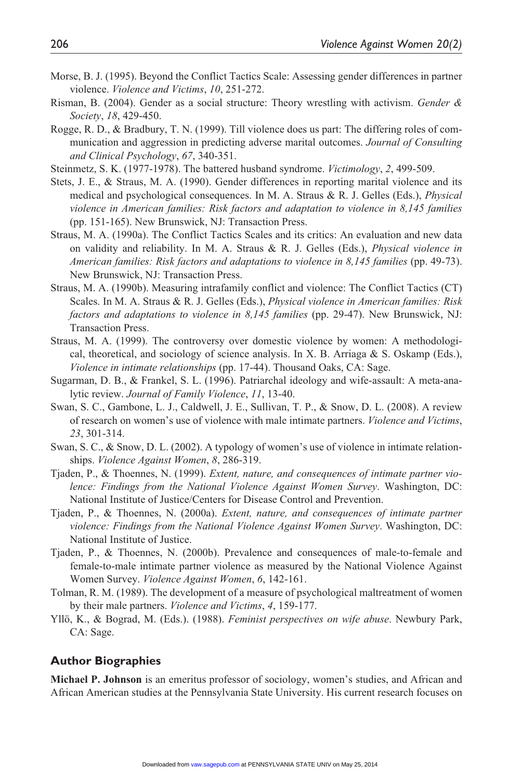- Morse, B. J. (1995). Beyond the Conflict Tactics Scale: Assessing gender differences in partner violence. *Violence and Victims*, *10*, 251-272.
- Risman, B. (2004). Gender as a social structure: Theory wrestling with activism. *Gender & Society*, *18*, 429-450.
- Rogge, R. D., & Bradbury, T. N. (1999). Till violence does us part: The differing roles of communication and aggression in predicting adverse marital outcomes. *Journal of Consulting and Clinical Psychology*, *67*, 340-351.
- Steinmetz, S. K. (1977-1978). The battered husband syndrome. *Victimology*, *2*, 499-509.
- Stets, J. E., & Straus, M. A. (1990). Gender differences in reporting marital violence and its medical and psychological consequences. In M. A. Straus & R. J. Gelles (Eds.), *Physical violence in American families: Risk factors and adaptation to violence in 8,145 families* (pp. 151-165). New Brunswick, NJ: Transaction Press.
- Straus, M. A. (1990a). The Conflict Tactics Scales and its critics: An evaluation and new data on validity and reliability. In M. A. Straus & R. J. Gelles (Eds.), *Physical violence in American families: Risk factors and adaptations to violence in 8,145 families* (pp. 49-73). New Brunswick, NJ: Transaction Press.
- Straus, M. A. (1990b). Measuring intrafamily conflict and violence: The Conflict Tactics (CT) Scales. In M. A. Straus & R. J. Gelles (Eds.), *Physical violence in American families: Risk factors and adaptations to violence in 8,145 families* (pp. 29-47). New Brunswick, NJ: Transaction Press.
- Straus, M. A. (1999). The controversy over domestic violence by women: A methodological, theoretical, and sociology of science analysis. In X. B. Arriaga & S. Oskamp (Eds.), *Violence in intimate relationships* (pp. 17-44). Thousand Oaks, CA: Sage.
- Sugarman, D. B., & Frankel, S. L. (1996). Patriarchal ideology and wife-assault: A meta-analytic review. *Journal of Family Violence*, *11*, 13-40.
- Swan, S. C., Gambone, L. J., Caldwell, J. E., Sullivan, T. P., & Snow, D. L. (2008). A review of research on women's use of violence with male intimate partners. *Violence and Victims*, *23*, 301-314.
- Swan, S. C., & Snow, D. L. (2002). A typology of women's use of violence in intimate relationships. *Violence Against Women*, *8*, 286-319.
- Tjaden, P., & Thoennes, N. (1999). *Extent, nature, and consequences of intimate partner violence: Findings from the National Violence Against Women Survey*. Washington, DC: National Institute of Justice/Centers for Disease Control and Prevention.
- Tjaden, P., & Thoennes, N. (2000a). *Extent, nature, and consequences of intimate partner violence: Findings from the National Violence Against Women Survey*. Washington, DC: National Institute of Justice.
- Tjaden, P., & Thoennes, N. (2000b). Prevalence and consequences of male-to-female and female-to-male intimate partner violence as measured by the National Violence Against Women Survey. *Violence Against Women*, *6*, 142-161.
- Tolman, R. M. (1989). The development of a measure of psychological maltreatment of women by their male partners. *Violence and Victims*, *4*, 159-177.
- Yllö, K., & Bograd, M. (Eds.). (1988). *Feminist perspectives on wife abuse*. Newbury Park, CA: Sage.

#### **Author Biographies**

**Michael P. Johnson** is an emeritus professor of sociology, women's studies, and African and African American studies at the Pennsylvania State University. His current research focuses on